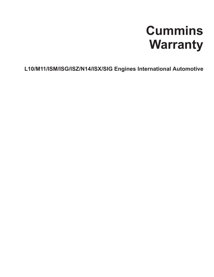# **Cummins Warranty**

**L10/M11/ISM/ISG/ISZ/N14/ISX/SIG Engines International Automotive**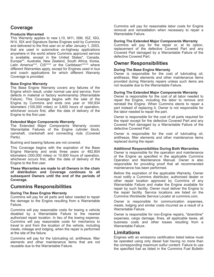# **Coverage**

## **Products Warranted**

This Warranty applies to new L10, M11, ISM, ISZ, ISG, N14, ISX and Signature Series Engines sold by Cummins and delivered to the first user on or after January 1, 2003, that are used in automotive on-highway applications anywhere in the world where Cummins approved service is available, except in the United States\*, Canada, Europe\*\*, Australia, New Zealand, South Africa, Korea, Latin America\*\*\*, CIS\*\*\*\* or the Caribbean\*\*\*\*\* where different Warranties apply, except for Engines used in bus and coach applications for which different Warranty Coverage is provided.

## **Base Engine Warranty**

The Base Engine Warranty covers any failures of the Engine which result, under normal use and service, from defects in material or factory workmanship (Warrantable Failure). This Coverage begins with the sale of the Engine by Cummins and ends one year or 160,934 kilometers (100,000 miles) or 3,600 hours of operation, whichever occurs first, after the date of delivery of the Engine to the first user.

### **Extended Major Components Warranty**

The Extended Major Components Warranty covers Warrantable Failures of the Engine cylinder block, camshaft, crankshaft and connecting rods (Covered Parts).

Bushing and bearing failures are not covered.

This Coverage begins with the expiration of the Base Engine Warranty and ends three years or 482,804 kilometers (300,000 miles) or 10,800 hours of operation, whichever occurs first, after the date of delivery of the Engine to the first user.

**These Warranties are made to all Owners in the chain of distribution and Coverage continues to all subsequent Owners until the end of the periods of Coverage.**

## **Cummins Responsibilities**

### **During The Base Engine Warranty**

Cummins will pay for all parts and labor needed to repair the damage to the Engine resulting from a Warrantable Failure.

Cummins will pay reasonable costs for towing a vehicle disabled by a Warrantable Failure to the nearest authorized repair location. In lieu of the towing expense, Cummins will pay reasonable costs for mechanics to travel to and from the location of the vehicle, including meals, mileage and lodging, when the repair is performed at the site of the failure.

Cummins will pay for the lubricating oil, antifreeze, filter elements and other maintenance items that are not reusable due to the Warrantable Failure.

Cummins will pay for reasonable labor costs for Engine removal and reinstallation when necessary to repair a Warrantable Failure.

#### **During The Extended Major Components Warranty**

Cummins will pay for the repair or, at its option, replacement of the defective Covered Part and any Covered Part damaged by a Warrantable Failure of the defective Covered Part.

# **Owner Responsibilities**

#### **During The Base Engine Warranty**

Owner is responsible for the cost of lubricating oil, antifreeze, filter elements and other maintenance items provided during Warranty repairs unless such items are not reusable due to the Warrantable Failure.

#### **During The Extended Major Components Warranty**

Owner is responsible for the cost of all labor needed to repair the Engine, including the labor to remove and reinstall the Engine. When Cummins elects to repair a part instead of replacing it, Owner is not responsible for the labor needed to repair the part.

Owner is responsible for the cost of all parts required for the repair except for the defective Covered Part and any Covered Part damaged by a Warrantable Failure of the defective Covered Part.

Owner is responsible for the cost of lubricating oil, antifreeze, filter elements and other maintenance items replaced during the repair.

#### **Additional Responsibilities During Both Warranties**

Owner is responsible for the operation and maintenance of the Engine as specified in the applicable Cummins Operation and Maintenance Manual. Owner is also responsible for providing proof that all recommended maintenance has been performed.

Before the expiration of the applicable Warranty, Owner must notify a Cummins distributor, authorized dealer or other repair location approved by Cummins of any Warrantable Failure and make the Engine available for repair by such facility. Owner must deliver the Engine to the repair facility. Service locations are listed on the Cummins Worldwide Service Locator at cummins.com.

Owner is responsible for communication expenses, meals, lodging and similar costs incurred as a result of a Warrantable Failure.

Owner is responsible for non-Engine repairs, "downtime" expenses, cargo damage, fines, all applicable taxes, all business costs and other losses resulting from a Warrantable Failure.

## **Limitations**

Engines with an emissions certification listed below must be operated using only diesel fuel having no more than the corresponding maximum sulfur content. Failure to use the specified fuel as listed in the Cummins Fuel Bulletin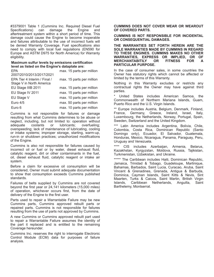#3379001 Table 1 (Cummins Inc. Required Diesel Fuel Specifications) can damage the Engine and aftertreatment system within a short period of time. This damage could cause the Engine to become inoperable and failures attributable to the use of incorrect fuels will be denied Warranty Coverage. Fuel specifications also need to comply with local fuel regulations (EN590 for Europe and ASTM D975 for North America) for Warranty eligibility.

#### **Maximum sulfur levels by emissions certification level as listed on the Engine's dataplate are:**

| <b>EPA</b>                   | max. 15 parts per million |
|------------------------------|---------------------------|
| 2007/2010/2013/2017/2021     |                           |
| EPA Tier 4 Interim / Final / | max. 15 parts per million |
| Stage V in North America     |                           |
| EU Stage IIIB 2011           | max. 15 parts per million |
| EU Stage IV 2011             | max. 15 parts per million |
| EU Stage V                   | max. 10 parts per million |
| Euro 4/5                     | max. 50 parts per million |
| Euro 6                       | max. 10 parts per million |

Cummins is not responsible for failures or damage resulting from what Cummins determines to be abuse or neglect, including, but not limited to: operation without adequate coolants or lubricants; overfueling; overspeeding; lack of maintenance of lubricating, cooling or intake systems; improper storage, starting, warm-up, run-in or shutdown practices; unauthorized modifications of the Engine.

Cummins is also not responsible for failures caused by incorrect oil or fuel or by water, diesel exhaust fluid, catalytic reagent, dirt or other contaminants in the fuel, oil, diesel exhaust fluid, catalytic reagent or intake air system.

Before a claim for excessive oil consumption will be considered, Owner must submit adequate documentation to show that consumption exceeds Cummins published standards.

Failures of belts supplied by Cummins are not covered beyond the first year or 24,141 kilometers (15,000 miles) of operation, whichever occurs first, from the date of delivery of the Engine to the first user.

Parts used to repair a Warrantable Failure may be new Cummins parts, Cummins approved rebuilt parts or repaired parts. Cummins is not responsible for failures resulting from the use of parts not approved by Cummins.

A new Cummins or Cummins approved rebuilt part used to repair a Warrantable Failure assumes the identity of the part it replaced and is entitled to the remaining Coverage hereunder.

Cummins Inc. reserves the right to interrogate Electronic Control Module (ECM) data for purposes of failure analysis.

**CUMMINS DOES NOT COVER WEAR OR WEAROUT OF COVERED PARTS.**

**CUMMINS IS NOT RESPONSIBLE FOR INCIDENTAL OR CONSEQUENTIAL DAMAGES.**

**THE WARRANTIES SET FORTH HEREIN ARE THE SOLE WARRANTIES MADE BY CUMMINS IN REGARD TO THESE ENGINES. CUMMINS MAKES NO OTHER WARRANTIES, EXPRESS OR IMPLIED, OR OF MERCHANTABITILY OR FITNESS FOR A PARTICULAR PURPOSE.**

In the case of consumer sales, in some countries the Owner has statutory rights which cannot be affected or limited by the terms of this Warranty.

Nothing in this Warranty excludes or restricts any contractual rights the Owner may have against third parties.

United States includes American Samoa, the Commonwealth of Northern Mariana Islands, Guam, Puerto Rico and the U.S. Virgin Islands.

\*\* Europe includes Austria, Belgium, Denmark, Finland, France, Germany, Greece, Ireland, Israel, Italy, Luxembourg, the Netherlands, Norway, Portugal, Spain, Sweden, Switzerland and the United Kingdom.

\*\*\* Latin America includes Argentina, Bolivia, Chile, Colombia, Costa Rica, Dominican Republic (Santo Domingo only), Ecuador, El Salvador, Guatemala, Honduras, Mexico, Nicaragua, Panama, Paraguay, Peru, Uruguay and Venezuela.

\*\*\*\* CIS includes Azerbaijan, Armenia, Belarus, Kazakhstan, Kyrgyzstan, Moldova, Russia, Tajikistan, Turkmenistan, Uzbekistan, and Ukraine.

\*\*\*\*\* The Caribbean includes Haiti, Dominican Republic, Jamaica, Trinidad & Tobago, Guadeloupe, Martinique, Bahamas, Barbados, Saint Lucia, Curacao, Aruba, Saint Vincent & Grenadines, Grenada, Antigua & Barbuda, Dominica, Cayman Islands, Saint Kitts & Nevis, Sint Maarten, Turks & Caicos, Saint Martin, British Virgin Islands, Caribbean Netherlands, Anguilla, Saint Barthelemy, Montserrat.